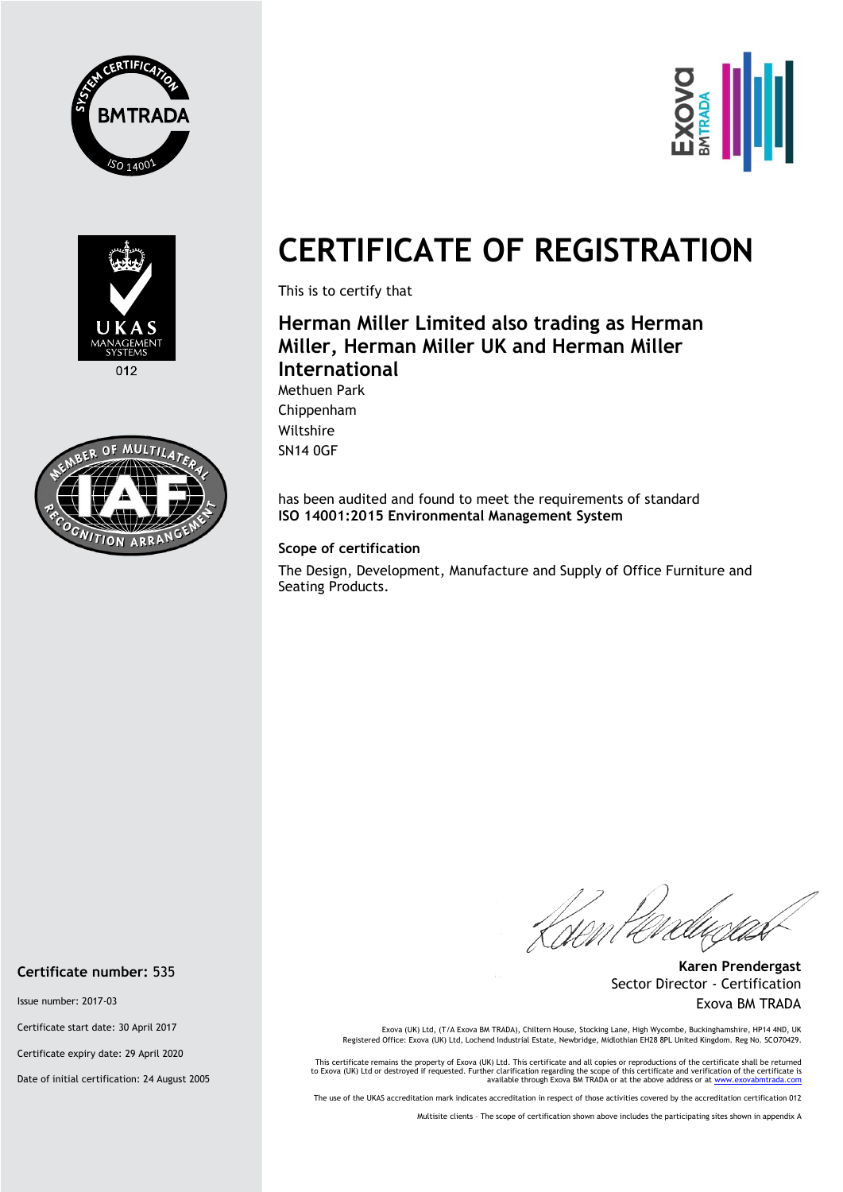





 $012$ 



## **CERTIFICATE OF REGISTRATION**

This is to certify that

## **Herman Miller Limited also trading as Herman Miller, Herman Miller UK and Herman Miller International**

Methuen Park Chippenham Wiltshire SN14 0GF

has been audited and found to meet the requirements of standard **ISO 14001:2015 Environmental Management System** 

## **Scope of certification**

The Design, Development, Manufacture and Supply of Office Furniture and Seating Products.

Knen te

**Karen Prendergast** Sector Director - Certification Exova BM TRADA

Exova (UK) Ltd, (T/A Exova BM TRADA), Chiltern House, Stocking Lane, High Wycombe, Buckinghamshire, HP14 4ND, UK Registered Office: Exova (UK) Ltd, Lochend Industrial Estate, Newbridge, Midlothian EH28 8PL United Kingdom. Reg No. SCO70429.

This certificate remains the property of Exova (UK) Ltd. This certificate and all copies or reproductions of the certificate shall be returned to Exova (UK) Ltd or destroyed if requested. Further clarification regarding the scope of this certificate and verification of the certificate is<br>available through Exova BM TRADA or at the above address or at www.exovabmtr

The use of the UKAS accreditation mark indicates accreditation in respect of those activities covered by the accreditation certification 012

Multisite clients – The scope of certification shown above includes the participating sites shown in appendix A

**Certificate number:** 535

Issue number: 2017-03

Certificate start date: 30 April 2017

Certificate expiry date: 29 April 2020

Date of initial certification: 24 August 2005